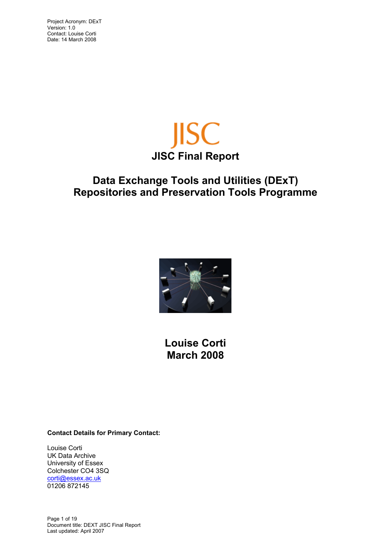Contact: Louise Corti Date: 14 March 2008



# **Data Exchange Tools and Utilities (DExT) Repositories and Preservation Tools Programme**



**Louise Corti March 2008**

**Contact Details for Primary Contact:** 

Louise Corti UK Data Archive University of Essex Colchester CO4 3SQ corti@essex.ac.uk 01206 872145

Page 1 of 19 Document title: DEXT JISC Final Report Last updated: April 2007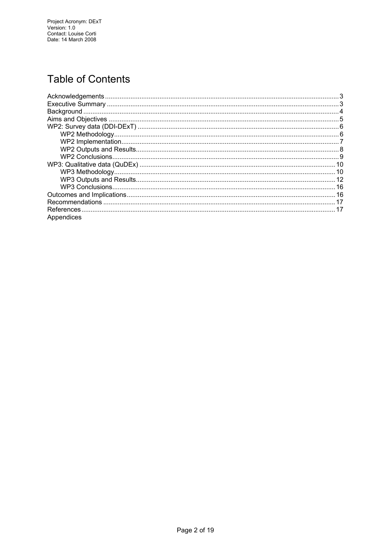# **Table of Contents**

| Appendices |  |
|------------|--|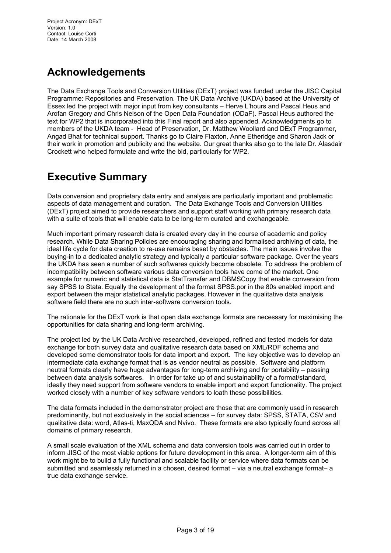# <span id="page-2-0"></span>**Acknowledgements**

The Data Exchange Tools and Conversion Utilities (DExT) project was funded under the JISC Capital Programme: Repositories and Preservation. The UK Data Archive (UKDA) based at the University of Essex led the project with major input from key consultants – Herve L'hours and Pascal Heus and Arofan Gregory and Chris Nelson of the Open Data Foundation (ODaF). Pascal Heus authored the text for WP2 that is incorporated into this Final report and also appended. Acknowledgments go to members of the UKDA team - Head of Preservation, Dr. Matthew Woollard and DExT Programmer, Angad Bhat for technical support. Thanks go to Claire Flaxton, Anne Etheridge and Sharon Jack or their work in promotion and publicity and the website. Our great thanks also go to the late Dr. Alasdair Crockett who helped formulate and write the bid, particularly for WP2.

## **Executive Summary**

Data conversion and proprietary data entry and analysis are particularly important and problematic aspects of data management and curation. The Data Exchange Tools and Conversion Utilities (DExT) project aimed to provide researchers and support staff working with primary research data with a suite of tools that will enable data to be long-term curated and exchangeable.

Much important primary research data is created every day in the course of academic and policy research. While Data Sharing Policies are encouraging sharing and formalised archiving of data, the ideal life cycle for data creation to re-use remains beset by obstacles. The main issues involve the buying-in to a dedicated analytic strategy and typically a particular software package. Over the years the UKDA has seen a number of such softwares quickly become obsolete. To address the problem of incompatibility between software various data conversion tools have come of the market. One example for numeric and statistical data is StatTransfer and DBMSCopy that enable conversion from say SPSS to Stata. Equally the development of the format SPSS.por in the 80s enabled import and export between the major statistical analytic packages. However in the qualitative data analysis software field there are no such inter-software conversion tools.

The rationale for the DExT work is that open data exchange formats are necessary for maximising the opportunities for data sharing and long-term archiving.

The project led by the UK Data Archive researched, developed, refined and tested models for data exchange for both survey data and qualitative research data based on XML/RDF schema and developed some demonstrator tools for data import and export. The key objective was to develop an intermediate data exchange format that is as vendor neutral as possible. Software and platform neutral formats clearly have huge advantages for long-term archiving and for portability – passing between data analysis softwares. In order for take up of and sustainability of a format/standard, ideally they need support from software vendors to enable import and export functionality. The project worked closely with a number of key software vendors to loath these possibilities.

The data formats included in the demonstrator project are those that are commonly used in research predominantly, but not exclusively in the social sciences – for survey data: SPSS, STATA, CSV and qualitative data: word, Atlas-ti, MaxQDA and Nvivo. These formats are also typically found across all domains of primary research.

A small scale evaluation of the XML schema and data conversion tools was carried out in order to inform JISC of the most viable options for future development in this area. A longer-term aim of this work might be to build a fully functional and scalable facility or service where data formats can be submitted and seamlessly returned in a chosen, desired format – via a neutral exchange format– a true data exchange service.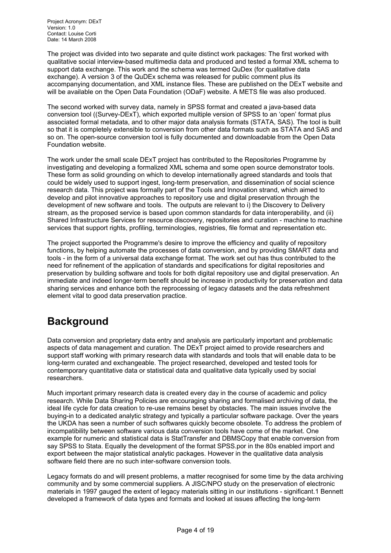<span id="page-3-0"></span>Project Acronym: DExT Version: 1.0 Contact: Louise Corti Date: 14 March 2008

The project was divided into two separate and quite distinct work packages: The first worked with qualitative social interview-based multimedia data and produced and tested a formal XML schema to support data exchange. This work and the schema was termed QuDex (for qualitative data exchange). A version 3 of the QuDEx schema was released for public comment plus its accompanying documentation, and XML instance files. These are published on the DExT website and will be available on the Open Data Foundation (ODaF) website. A METS file was also produced.

The second worked with survey data, namely in SPSS format and created a java-based data conversion tool ((Survey-DExT), which exported multiple version of SPSS to an 'open' format plus associated formal metadata, and to other major data analysis formats (STATA, SAS). The tool is built so that it is completely extensible to conversion from other data formats such as STATA and SAS and so on. The open-source conversion tool is fully documented and downloadable from the Open Data Foundation website.

The work under the small scale DExT project has contributed to the Repositories Programme by investigating and developing a formalized XML schema and some open source demonstrator tools. These form as solid grounding on which to develop internationally agreed standards and tools that could be widely used to support ingest, long-term preservation, and dissemination of social science research data. This project was formally part of the Tools and Innovation strand, which aimed to develop and pilot innovative approaches to repository use and digital preservation through the development of new software and tools. The outputs are relevant to i) the Discovery to Delivery stream, as the proposed service is based upon common standards for data interoperability, and (ii) Shared Infrastructure Services for resource discovery, repositories and curation - machine to machine services that support rights, profiling, terminologies, registries, file format and representation etc.

The project supported the Programme's desire to improve the efficiency and quality of repository functions, by helping automate the processes of data conversion, and by providing SMART data and tools - in the form of a universal data exchange format. The work set out has thus contributed to the need for refinement of the application of standards and specifications for digital repositories and preservation by building software and tools for both digital repository use and digital preservation. An immediate and indeed longer-term benefit should be increase in productivity for preservation and data sharing services and enhance both the reprocessing of legacy datasets and the data refreshment element vital to good data preservation practice.

# **Background**

Data conversion and proprietary data entry and analysis are particularly important and problematic aspects of data management and curation. The DExT project aimed to provide researchers and support staff working with primary research data with standards and tools that will enable data to be long-term curated and exchangeable. The project researched, developed and tested tools for contemporary quantitative data or statistical data and qualitative data typically used by social researchers.

Much important primary research data is created every day in the course of academic and policy research. While Data Sharing Policies are encouraging sharing and formalised archiving of data, the ideal life cycle for data creation to re-use remains beset by obstacles. The main issues involve the buying-in to a dedicated analytic strategy and typically a particular software package. Over the years the UKDA has seen a number of such softwares quickly become obsolete. To address the problem of incompatibility between software various data conversion tools have come of the market. One example for numeric and statistical data is StatTransfer and DBMSCopy that enable conversion from say SPSS to Stata. Equally the development of the format SPSS.por in the 80s enabled import and export between the major statistical analytic packages. However in the qualitative data analysis software field there are no such inter-software conversion tools.

Legacy formats do and will present problems, a matter recognised for some time by the data archiving community and by some commercial suppliers. A JISC/NPO study on the preservation of electronic materials in 1997 gauged the extent of legacy materials sitting in our institutions - significant.1 Bennett developed a framework of data types and formats and looked at issues affecting the long-term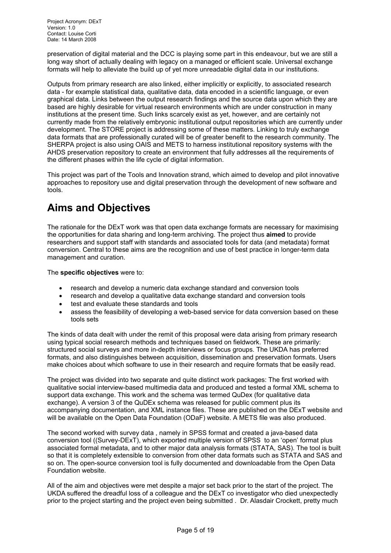<span id="page-4-0"></span>Project Acronym: DExT Version: 1.0 Contact: Louise Corti Date: 14 March 2008

preservation of digital material and the DCC is playing some part in this endeavour, but we are still a long way short of actually dealing with legacy on a managed or efficient scale. Universal exchange formats will help to alleviate the build up of yet more unreadable digital data in our institutions.

Outputs from primary research are also linked, either implicitly or explicitly, to associated research data - for example statistical data, qualitative data, data encoded in a scientific language, or even graphical data. Links between the output research findings and the source data upon which they are based are highly desirable for virtual research environments which are under construction in many institutions at the present time. Such links scarcely exist as yet, however, and are certainly not currently made from the relatively embryonic institutional output repositories which are currently under development. The STORE project is addressing some of these matters. Linking to truly exchange data formats that are professionally curated will be of greater benefit to the research community. The SHERPA project is also using OAIS and METS to harness institutional repository systems with the AHDS preservation repository to create an environment that fully addresses all the requirements of the different phases within the life cycle of digital information.

This project was part of the Tools and Innovation strand, which aimed to develop and pilot innovative approaches to repository use and digital preservation through the development of new software and tools.

# **Aims and Objectives**

The rationale for the DExT work was that open data exchange formats are necessary for maximising the opportunities for data sharing and long-term archiving. The project thus **aimed** to provide researchers and support staff with standards and associated tools for data (and metadata) format conversion. Central to these aims are the recognition and use of best practice in longer-term data management and curation.

#### The **specific objectives** were to:

- research and develop a numeric data exchange standard and conversion tools
- research and develop a qualitative data exchange standard and conversion tools
- test and evaluate these standards and tools
- assess the feasibility of developing a web-based service for data conversion based on these tools sets

The kinds of data dealt with under the remit of this proposal were data arising from primary research using typical social research methods and techniques based on fieldwork. These are primarily: structured social surveys and more in-depth interviews or focus groups. The UKDA has preferred formats, and also distinguishes between acquisition, dissemination and preservation formats. Users make choices about which software to use in their research and require formats that be easily read.

The project was divided into two separate and quite distinct work packages: The first worked with qualitative social interview-based multimedia data and produced and tested a formal XML schema to support data exchange. This work and the schema was termed QuDex (for qualitative data exchange). A version 3 of the QuDEx schema was released for public comment plus its accompanying documentation, and XML instance files. These are published on the DExT website and will be available on the Open Data Foundation (ODaF) website. A METS file was also produced.

The second worked with survey data , namely in SPSS format and created a java-based data conversion tool ((Survey-DExT), which exported multiple version of SPSS to an 'open' format plus associated formal metadata, and to other major data analysis formats (STATA, SAS). The tool is built so that it is completely extensible to conversion from other data formats such as STATA and SAS and so on. The open-source conversion tool is fully documented and downloadable from the Open Data Foundation website.

All of the aim and objectives were met despite a major set back prior to the start of the project. The UKDA suffered the dreadful loss of a colleague and the DExT co investigator who died unexpectedly prior to the project starting and the project even being submitted . Dr. Alasdair Crockett, pretty much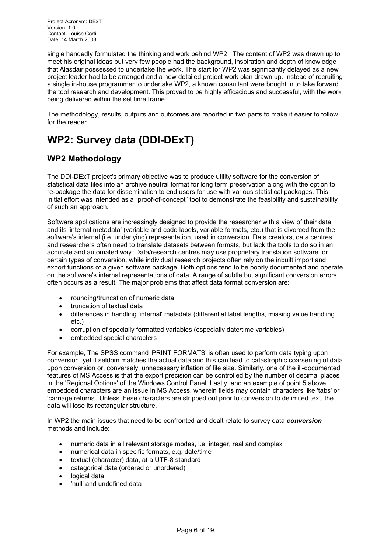<span id="page-5-0"></span>single handedly formulated the thinking and work behind WP2. The content of WP2 was drawn up to meet his original ideas but very few people had the background, inspiration and depth of knowledge that Alasdair possessed to undertake the work. The start for WP2 was significantly delayed as a new project leader had to be arranged and a new detailed project work plan drawn up. Instead of recruiting a single in-house programmer to undertake WP2, a known consultant were bought in to take forward the tool research and development. This proved to be highly efficacious and successful, with the work being delivered within the set time frame.

The methodology, results, outputs and outcomes are reported in two parts to make it easier to follow for the reader.

# **WP2: Survey data (DDI-DExT)**

## **WP2 Methodology**

The DDI-DExT project's primary objective was to produce utility software for the conversion of statistical data files into an archive neutral format for long term preservation along with the option to re-package the data for dissemination to end users for use with various statistical packages. This initial effort was intended as a "proof-of-concept" tool to demonstrate the feasibility and sustainability of such an approach.

Software applications are increasingly designed to provide the researcher with a view of their data and its 'internal metadata' (variable and code labels, variable formats, etc.) that is divorced from the software's internal (i.e. underlying) representation, used in conversion. Data creators, data centres and researchers often need to translate datasets between formats, but lack the tools to do so in an accurate and automated way. Data/research centres may use proprietary translation software for certain types of conversion, while individual research projects often rely on the inbuilt import and export functions of a given software package. Both options tend to be poorly documented and operate on the software's internal representations of data. A range of subtle but significant conversion errors often occurs as a result. The major problems that affect data format conversion are:

- rounding/truncation of numeric data
- truncation of textual data
- differences in handling 'internal' metadata (differential label lengths, missing value handling etc.)
- corruption of specially formatted variables (especially date/time variables)
- embedded special characters

For example, The SPSS command 'PRINT FORMATS' is often used to perform data typing upon conversion, yet it seldom matches the actual data and this can lead to catastrophic coarsening of data upon conversion or, conversely, unnecessary inflation of file size. Similarly, one of the ill-documented features of MS Access is that the export precision can be controlled by the number of decimal places in the 'Regional Options' of the Windows Control Panel. Lastly, and an example of point 5 above, embedded characters are an issue in MS Access, wherein fields may contain characters like 'tabs' or 'carriage returns'. Unless these characters are stripped out prior to conversion to delimited text, the data will lose its rectangular structure.

In WP2 the main issues that need to be confronted and dealt relate to survey data *conversion* methods and include:

- numeric data in all relevant storage modes, i.e. integer, real and complex
- numerical data in specific formats, e.g. date/time
- textual (character) data, at a UTF-8 standard
- categorical data (ordered or unordered)
- logical data
- 'null' and undefined data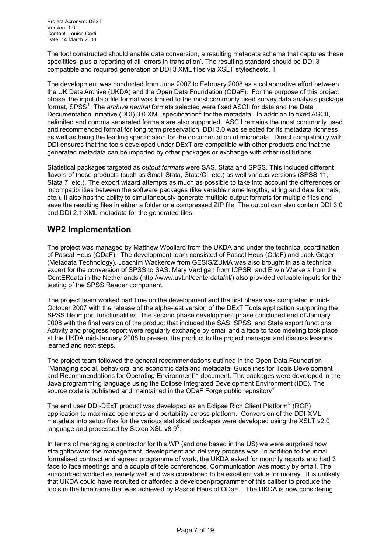<span id="page-6-0"></span>The tool constructed should enable data conversion, a resulting metadata schema that captures these specifities, plus a reporting of all 'errors in translation'. The resulting standard should be DDI 3 compatible and required generation of DDI 3 XML files via XSLT stylesheets. T

The development was conducted from June 2007 to February 2008 as a collaborative effort between the UK Data Archive (UKDA) and the Open Data Foundation (ODaF). For the purpose of this project phase, the input data file format was limited to the most commonly used survey data analysis package format, SPSS<sup>1</sup>. The *archive neutral* formats selected were fixed ASCII for data and the Data Documentation Initiative (DDI) 3.0 XML specification<sup>2</sup> for the metadata. In addition to fixed ASCII, delimited and comma separated formats are also supported. ASCII remains the most commonly used and recommended format for long term preservation. DDI 3.0 was selected for its metadata richness as well as bei[n](#page-17-0)g the leading specification for the documentation of microdata. Direct compatibility with DDI ensures that the tools developed under DExT a[re](#page-17-1) compatible with other products and that the generated metadata can be imported by other packages or exchange with other institutions.

Statistical packages targeted as *output formats* were SAS, Stata and SPSS. This included different flavors of these products (such as Small Stata, Stata/CI, etc.) as well various versions (SPSS 11, Stata 7, etc.). The export wizard attempts as much as possible to take into account the differences or incompatibilities between the software packages (like variable name lengths, string and date formats, etc.). It also has the ability to simultaneously generate multiple output formats for multiple files and save the resulting files in either a folder or a compressed ZIP file. The output can also contain DDI 3.0 and DDI 2.1 XML metadata for the generated files.

### **WP2 Implementation**

The project was managed by Matthew Woollard from the UKDA and under the technical coordination of Pascal Heus (ODaF). The development team consisted of Pascal Heus (OdaF) and Jack Gager (Metadata Technology). Joachim Wackerow from GESIS/ZUMA was also brought in as a technical expert for the conversion of SPSS to SAS. Mary Vardigan from ICPSR and Erwin Werkers from the CentERdata in the Netherlands (http://www.uvt.nl/centerdata/nl/) also provided valuable inputs for the testing of the SPSS Reader component.

The project team worked part time on the development and the first phase was completed in mid-October 2007 with the release of the alpha-test version of the DExT Tools application supporting the SPSS file import functionalities. The second phase development phase concluded end of January 2008 with the final version of the product that included the SAS, SPSS, and Stata export functions. Activity and progress report were regularly exchange by email and a face to face meeting took place at the UKDA mid-January 2008 to present the product to the project manager and discuss lessons learned and next steps.

The project team followed the general recommendations outlined in the Open Data Foundation "Managing social, behavioral and economic data and metadata: Guidelines for Tools Development and Recommendations for Operating Environment"<sup>3</sup> document. The packages were developed in the Java programming language using the Eclipse Integrated Development Environment (IDE). The source code is published and maintained in the ODaF Forge public repository<sup>4</sup>.

language and processed by Saxon XSL v8.9 $^6$ . The end user DDI-DExT product was developed [a](#page-17-1)s an Eclipse Rich Client Platform<sup>5</sup> (RCP) application to maximize openness and portability across-platform. Conversion of the DDI-XML metadata into setup files for the various statistical packages were developed [us](#page-17-1)ing the XSLT v2.0

In terms of managing a contractor for this WP (and one based in the US) we were surprised how straightforward the management, development and delivery process was. In addition to the initial formalised contract and agreed programme of work, the UKDA asked for monthly reports and had 3 face to face meetings and a couple of tele conferences. Communication was mostly by email. The subcontract worked extremely well and was considered to be excellent value for money. It is unlikely that UKDA could have recruited or afforded a developer/programmer of this caliber to produce the tools in the timeframe that was achieved by Pascal Heus of ODaF. The UKDA is now considering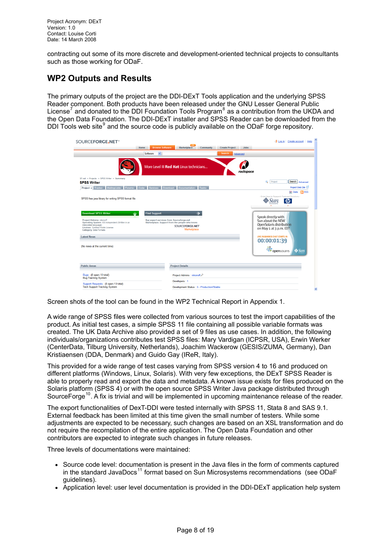<span id="page-7-0"></span>contracting out some of its more discrete and development-oriented technical projects to consultants such as those working for ODaF.

### **WP2 Outputs and Results**

DDI Tools web site $9$  and the source code is publicly available on the ODaF forge repository. The primary outputs of the project are the DDI-DExT Tools application and the underlying SPSS Reader component. Both products have been released under the GNU Lesser General Public License<sup>7</sup> and donated to the DDI Foundation Tools Program<sup>8</sup> as a contribution from the UKDA and the Open Data Foundation. The DDI-DExT installer and SPSS Reader can be downloaded from the

| SOURCEFORGE.NET <sup>®</sup>                                                                                                                                            |                                |                                                                                                                              |                  |                       |             | Log in Create account<br>Help                                                  |
|-------------------------------------------------------------------------------------------------------------------------------------------------------------------------|--------------------------------|------------------------------------------------------------------------------------------------------------------------------|------------------|-----------------------|-------------|--------------------------------------------------------------------------------|
|                                                                                                                                                                         | <b>Browse Software</b><br>Home | Marketplace                                                                                                                  | <b>Community</b> | <b>Create Project</b> | <b>Jobs</b> |                                                                                |
|                                                                                                                                                                         | $\checkmark$<br>Software       |                                                                                                                              |                  | Search                | Advanced    |                                                                                |
|                                                                                                                                                                         |                                | More Level III Red Hat Linux technicians                                                                                     |                  |                       | rackspace.  |                                                                                |
| SF.net » Projects » SPSS Writer » Summary<br><b>SPSS Writer</b>                                                                                                         |                                |                                                                                                                              |                  |                       |             | Q<br>Project<br>Search<br>Advanced                                             |
| <b>Project - Tracker - Mailing Lists -</b><br>Forums -                                                                                                                  | $Code -$                       | Services Download Documentation                                                                                              | Tasks -          |                       |             | Project Web Site                                                               |
|                                                                                                                                                                         |                                |                                                                                                                              |                  |                       |             | <b>IN RSS</b><br><b>X</b> Stats<br>Enter Here to Research Featured Solutions - |
| SPSS free java library for writing SPSS format file                                                                                                                     |                                |                                                                                                                              |                  |                       |             | $\varphi$                                                                      |
|                                                                                                                                                                         |                                |                                                                                                                              |                  |                       |             |                                                                                |
| <b>Download SPSS Writer</b>                                                                                                                                             | <b>Find Support</b>            |                                                                                                                              |                  |                       |             | Speak directly with                                                            |
| <b>Project Admins: nikonoff</b><br>Operating System: OS Independent (Written in an<br>interpreted language)<br>License: Common Public License<br>Category: Data Formats |                                | Buy expert services from Sourceforge.net<br>Marketplace. Support from the people who know.<br>SOURCEFORGE.NET<br>Marketplace |                  |                       |             | Sun about the NEW<br>OpenSolaris distribution<br>on May 1 at 3 p.m. EDT        |
| <b>Latest News</b>                                                                                                                                                      |                                |                                                                                                                              |                  |                       |             | <b>LIVE IN-BANNER CHAT STARTS IN</b>                                           |
| (No news at the current time)                                                                                                                                           |                                |                                                                                                                              |                  |                       |             | 00:00:01:39<br>os opensolaris<br>$\diamond$ Sun                                |
| <b>Public Areas</b>                                                                                                                                                     |                                | <b>Project Details</b>                                                                                                       |                  |                       |             |                                                                                |
| Bugs: (0 open / 0 total)<br><b>Bug Tracking System</b>                                                                                                                  |                                | Project Admins: nikonoff                                                                                                     |                  |                       |             |                                                                                |
| Support Requests: (0 open / 0 total)<br><b>Tech Support Tracking System</b>                                                                                             |                                | Developers: 1<br>Development Status : 5 - Production/Stable                                                                  |                  |                       |             |                                                                                |

Screen shots of the tool can be found in the WP2 Technical Report in Appendix 1.

A wide range of SPSS files were collected from various sources to test the import capabilities of the product. As initial test cases, a simple SPSS 11 file containing all possible variable formats was created. The UK Data Archive also provided a set of 9 files as use cases. In addition, the following individuals/organizations contributes test SPSS files: Mary Vardigan (ICPSR, USA), Erwin Werker (CenterData, Tilburg University, Netherlands), Joachim Wackerow (GESIS/ZUMA, Germany), Dan Kristiaensen (DDA, Denmark) and Guido Gay (IReR, Italy).

This provided for a wide range of test cases varying from SPSS version 4 to 16 and produced on different platforms (Windows, Linux, Solaris). With very few exceptions, the DExT SPSS Reader is able to properly read and export the data and metadata. A known issue exists for files produced on the Solaris platform (SPSS 4) or with the open source SPSS Writer Java package distributed through SourceForge<sup>10</sup>. A fix is trivial and will be implemented in upcoming maintenance release of the reader.

The export functionalities of DexT-DDI were tested internally with SPSS 11, Stata 8 and SAS 9.1. External feedback has been limited at this time given the small number of testers. While some adjustments [are](#page-17-1) expected to be necessary, such changes are based on an XSL transformation and do not require the recompilation of the entire application. The Open Data Foundation and other contributors are expected to integrate such changes in future releases.

Three levels of documentations were maintained:

- Source code level: documentation is present in the Java files in the form of comments captured in the standard JavaDocs<sup>11</sup> format based on Sun Microsystems recommendations (see ODaF guidelines).
- Application level: user level documentation is provided in the DDI-DExT application help system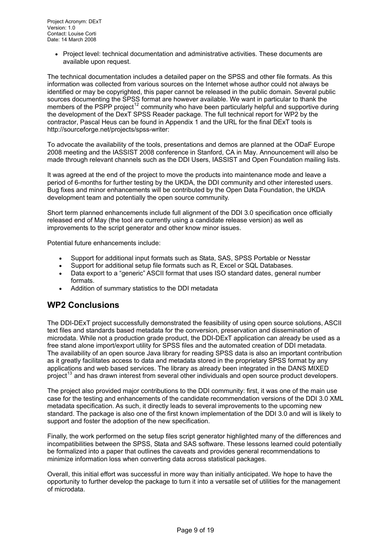<span id="page-8-0"></span>• Project level: technical documentation and administrative activities. These documents are available upon request.

The technical documentation includes a detailed paper on the SPSS and other file formats. As this information was collected from various sources on the Internet whose author could not always be identified or may be copyrighted, this paper cannot be released in the public domain. Several public sources documenting the SPSS format are however available. We want in particular to thank the members of the PSPP project<sup>12</sup> community who have been particularly helpful and supportive during the development of the DexT SPSS Reader package. The full technical report for WP2 by the contractor, Pascal Heus can be found in Appendix 1 and the URL for the final DExT tools is http://sourceforge.net/projects/spss-writer:

To advocate the availability of the tools, presentations and demos are planned at the ODaF Europe 2008 meeting and the IASSIST 2008 conference in Stanford, CA in May. Announcement will also be made through relevant channels such as the DDI Users, IASSIST and Open Foundation mailing lists.

It was agreed at the end of the project to move the products into maintenance mode and leave a period of 6-months for further testing by the UKDA, the DDI community and other interested users. Bug fixes and minor enhancements will be contributed by the Open Data Foundation, the UKDA development team and potentially the open source community.

Short term planned enhancements include full alignment of the DDI 3.0 specification once officially released end of May (the tool are currently using a candidate release version) as well as improvements to the script generator and other know minor issues.

Potential future enhancements include:

- Support for additional input formats such as Stata, SAS, SPSS Portable or Nesstar
- Support for additional setup file formats such as R, Excel or SQL Databases.
- Data export to a "generic" ASCII format that uses ISO standard dates, general number formats.
- Addition of summary statistics to the DDI metadata

### **WP2 Conclusions**

The DDI-DExT project successfully demonstrated the feasibility of using open source solutions, ASCII text files and standards based metadata for the conversion, preservation and dissemination of microdata. While not a production grade product, the DDI-DExT application can already be used as a free stand alone import/export utility for SPSS files and the automated creation of DDI metadata. The availability of an open source Java library for reading SPSS data is also an important contribution as it greatly facilitates access to data and metadata stored in the proprietary SPSS format by any applications and web based services. The library as already been integrated in the DANS MIXED project<sup>13</sup> and has drawn interest from several other individuals and open source product developers.

The project also provided major contributions to the DDI community: first, it was one of the main use case for the testing and enhancements of the candidate recommendation versions of the DDI 3.0 XML metad[ata](#page-17-1) specification. As such, it directly leads to several improvements to the upcoming new standard. The package is also one of the first known implementation of the DDI 3.0 and will is likely to support and foster the adoption of the new specification.

Finally, the work performed on the setup files script generator highlighted many of the differences and incompatibilities between the SPSS, Stata and SAS software. These lessons learned could potentially be formalized into a paper that outlines the caveats and provides general recommendations to minimize information loss when converting data across statistical packages.

Overall, this initial effort was successful in more way than initially anticipated. We hope to have the opportunity to further develop the package to turn it into a versatile set of utilities for the management of microdata.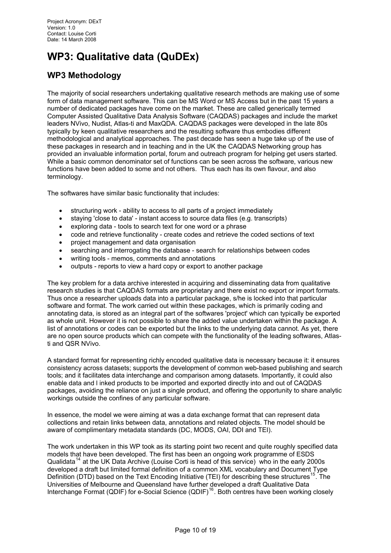# <span id="page-9-0"></span>**WP3: Qualitative data (QuDEx)**

## **WP3 Methodology**

The majority of social researchers undertaking qualitative research methods are making use of some form of data management software. This can be MS Word or MS Access but in the past 15 years a number of dedicated packages have come on the market. These are called generically termed Computer Assisted Qualitative Data Analysis Software (CAQDAS) packages and include the market leaders NVivo, Nudist, Atlas-ti and MaxQDA. CAQDAS packages were developed in the late 80s typically by keen qualitative researchers and the resulting software thus embodies different methodological and analytical approaches. The past decade has seen a huge take up of the use of these packages in research and in teaching and in the UK the CAQDAS Networking group has provided an invaluable information portal, forum and outreach program for helping get users started. While a basic common denominator set of functions can be seen across the software, various new functions have been added to some and not others. Thus each has its own flavour, and also terminology.

The softwares have similar basic functionality that includes:

- structuring work ability to access to all parts of a project immediately
- staying 'close to data' instant access to source data files (e.g. transcripts)
- exploring data tools to search text for one word or a phrase
- code and retrieve functionality create codes and retrieve the coded sections of text
- project management and data organisation
- searching and interrogating the database search for relationships between codes
- writing tools memos, comments and annotations
- outputs reports to view a hard copy or export to another package

The key problem for a data archive interested in acquiring and disseminating data from qualitative research studies is that CAQDAS formats are proprietary and there exist no export or import formats. Thus once a researcher uploads data into a particular package, s/he is locked into that particular software and format. The work carried out within these packages, which is primarily coding and annotating data, is stored as an integral part of the softwares 'project' which can typically be exported as whole unit. However it is not possible to share the added value undertaken within the package. A list of annotations or codes can be exported but the links to the underlying data cannot. As yet, there are no open source products which can compete with the functionality of the leading softwares, Atlasti and QSR NVivo.

A standard format for representing richly encoded qualitative data is necessary because it: it ensures consistency across datasets; supports the development of common web-based publishing and search tools; and it facilitates data interchange and comparison among datasets. Importantly, it could also enable data and l inked products to be imported and exported directly into and out of CAQDAS packages, avoiding the reliance on just a single product, and offering the opportunity to share analytic workings outside the confines of any particular software.

In essence, the model we were aiming at was a data exchange format that can represent data collections and retain links between data, annotations and related objects. The model should be aware of complimentary metadata standards (DC, MODS, OAI, DDI and TEI).

The work undertaken in this WP took as its starting point two recent and quite roughly specified data models that have been developed. The first has been an ongoing work programme of ESDS Qualidata<sup>14</sup> at the UK Data Archive (Louise Corti is head of this service) who in the early 2000s developed a draft but limited formal definition of a common XML vocabulary and Document Type Definition (DTD) based on the Text Encoding Initiative (TEI) for describing these structures<sup>15</sup>. The Universities of Melbourne and Queensland have further developed a draft Qualitative Data Interchan[ge](#page-17-1) Format (QDIF) for e-Social Science (QDIF)<sup>16</sup>. Both centres have been working closely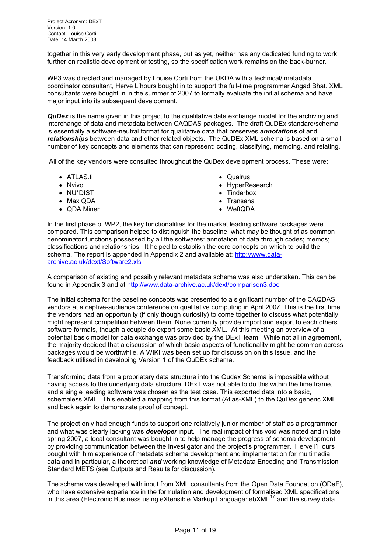together in this very early development phase, but as yet, neither has any dedicated funding to work further on realistic development or testing, so the specification work remains on the back-burner.

WP3 was directed and managed by Louise Corti from the UKDA with a technical/ metadata coordinator consultant, Herve L'hours bought in to support the full-time programmer Angad Bhat. XML consultants were bought in in the summer of 2007 to formally evaluate the initial schema and have major input into its subsequent development.

*QuDex* is the name given in this project to the qualitative data exchange model for the archiving and interchange of data and metadata between CAQDAS packages. The draft QuDEx standard/schema is essentially a software-neutral format for qualitative data that preserves *annotations* of and *relationships* between data and other related objects. The QuDEx XML schema is based on a small number of key concepts and elements that can represent: coding, classifying, memoing, and relating.

All of the key vendors were consulted throughout the QuDex development process. These were:

- ATLAS.ti
- Nvivo
- NU\*DIST
- Max QDA
- QDA Miner
- Qualrus
- HyperResearch
- Tinderbox
- Transana
- WeftQDA

In the first phase of WP2, the key functionalities for the market leading software packages were compared. This comparison helped to distinguish the baseline, what may be thought of as common denominator functions possessed by all the softwares: annotation of data through codes; memos; classifications and relationships. It helped to establish the core concepts on which to build the schema. The report is appended in Appendix 2 and available at: http://www.dataarchive.ac.uk/dext/Software2.xls

A comparison of existing and possibly relevant metadata schema was also undertaken. This can be found in Appendix 3 and at http://www.data-archive.ac.uk/dext/c[omparison3.doc](http://www.data-archive.ac.uk/dext/Software2.xls)

[The initial schema for the baselin](http://www.data-archive.ac.uk/dext/Software2.xls)e concepts was presented to a significant number of the CAQDAS vendors at a captive-audience conference on qualitative computing in April 2007. This is the first time the vendors had an opport[unity \(if only though curiosity\) to come together to discu](http://www.data-archive.ac.uk/dext/comparison3.doc)ss what potentially might represent competition between them. None currently provide import and export to each others software formats, though a couple do export some basic XML. At this meeting an overview of a potential basic model for data exchange was provided by the DExT team. While not all in agreement, the majority decided that a discussion of which basic aspects of functionality might be common across packages would be worthwhile. A WIKI was been set up for discussion on this issue, and the feedback utilised in developing Version 1 of the QuDEx schema.

Transforming data from a proprietary data structure into the Qudex Schema is impossible without having access to the underlying data structure. DExT was not able to do this within the time frame, and a single leading software was chosen as the test case. This exported data into a basic, schemaless XML. This enabled a mapping from this format (Atlas-XML) to the QuDex generic XML and back again to demonstrate proof of concept.

The project only had enough funds to support one relatively junior member of staff as a programmer and what was clearly lacking was *developer* input. The real impact of this void was noted and in late spring 2007, a local consultant was bought in to help manage the progress of schema development by providing communication between the Investigator and the project's programmer. Herve l'Hours bought with him experience of metadata schema development and implementation for multimedia data and in particular, a theoretical *and* working knowledge of Metadata Encoding and Transmission Standard METS (see Outputs and Results for discussion).

The schema was developed with input from XML consultants from the Open Data Foundation (ODaF), who have extensive experience in the formulation and development of formalised XML specifications in this area (Electronic Business using eXtensible Markup Language:  $ebXML^{17}$  and the survey data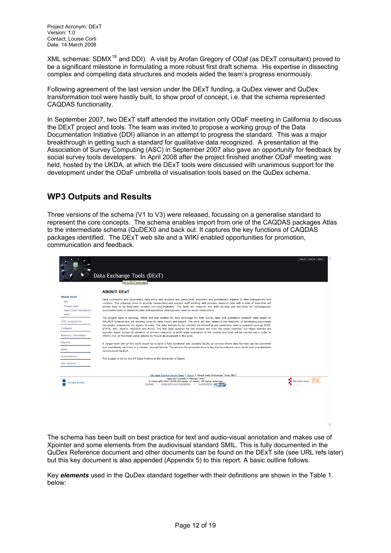<span id="page-11-0"></span>XML schemas: SDM $X^{18}$  and DDI). A visit by Arofan Gregory of ODaf (as DExT consultant) proved to be a significant milestone in formulating a more robust first draft schema. His expertise in dissecting complex and competing data structures and models aided the team's progress enormously.

Following agreement [of](#page-17-2) the last version under the DExT funding, a QuDex viewer and QuDex transformation tool were hastily built, to show proof of concept, i.e. that the schema represented CAQDAS functionality.

In September 2007, two DExT staff attended the invitation only ODaF meeting in California *to* discuss the DExT project and tools. The team was invited to propose a working group of the Data Documentation Initiative (DDI) alliance in an attempt to progress the standard. This was a major breakthrough in getting such a standard for qualitative data recognized. A presentation at the Association of Survey Computing (ASC) in September 2007 also gave an opportunity for feedback by social survey tools developers. In April 2008 after the project finished another ODaF meeting was held, hosted by the UKDA, at which the DExT tools were discussed with unanimous support for the development under the ODaF umbrella of visualisation tools based on the QuDex schema.

### **WP3 Outputs and Results**

Three versions of the schema (V1 to V3) were released, focussing on a generalise standard to represent the core concepts. The schema enables import from one of the CAQDAS packages Atlas to the intermediate schema (QuDEX0 and back out. It captures the key functions of CAQDAS packages identified. The DExT web site and a WIKI enabled opportunities for promotion, communication and feedback.

|                                                                                                   | Data Exchange Tools (DExT)<br>link to DExT home page                                                                                                                                                                                                                                                                                                                                                                                                                                                                                                                                                                                                                                                                                                                                              | DEXT UKDA JISC           |  |  |
|---------------------------------------------------------------------------------------------------|---------------------------------------------------------------------------------------------------------------------------------------------------------------------------------------------------------------------------------------------------------------------------------------------------------------------------------------------------------------------------------------------------------------------------------------------------------------------------------------------------------------------------------------------------------------------------------------------------------------------------------------------------------------------------------------------------------------------------------------------------------------------------------------------------|--------------------------|--|--|
|                                                                                                   | <b>ABOUT DEXT</b>                                                                                                                                                                                                                                                                                                                                                                                                                                                                                                                                                                                                                                                                                                                                                                                 |                          |  |  |
| <b>About DExT</b><br>Bid<br>Project plan<br>Open Data Foundation<br>work<br><b>JISC</b> programme | Data conversion and proprietary data entry and analysis are particularly important and problematic aspects of data management and<br>curation. This proposal aims to provide researchers and support staff working with primary research data with a suite of tools that will<br>enable data to be long-term curated and exchangeable. The tools will research and both develop and test tools for contemporary<br>quantitative data or statistical data and qualitative data typically used by social researchers.<br>The project aims to develop, refine and test models for data exchange for both survey data and qualitative research data based on<br>XML/RDF schema and will develop tools for data import and export. The work will also research the feasibility of developing automated |                          |  |  |
| Contacts                                                                                          | conversion procedures for legacy formats. The data formats to be included are those that are commonly used in research such as SPSS.<br>STATA, XML, Atlas-ti, MaxQDA and Nvivo. The test data selected for this project are from the social sciences, but these formats are                                                                                                                                                                                                                                                                                                                                                                                                                                                                                                                       |                          |  |  |
| <b>Advisory Committee</b>                                                                         | typically found across all domains of primary research. A small scale evaluation of the models and tools will be carried out in order to<br>inform JISC of the most viable options for future development in this area.                                                                                                                                                                                                                                                                                                                                                                                                                                                                                                                                                                           |                          |  |  |
| Reports<br><b>News</b>                                                                            | A longer-term aim of this work would be to build a fully functional and scalable facility or service where data formats can be submitted<br>and seamlessly returned in a chosen, desired format. The work in this proposal aims to lay the foundations upon which such a sustainable<br>service could be built.                                                                                                                                                                                                                                                                                                                                                                                                                                                                                   |                          |  |  |
| Presentations                                                                                     | The project is led by the UK Data Archive at the University of Essex.                                                                                                                                                                                                                                                                                                                                                                                                                                                                                                                                                                                                                                                                                                                             |                          |  |  |
| XML schema                                                                                        | UK Data Archive Home Page > About > About Data Exchange Tools DExT                                                                                                                                                                                                                                                                                                                                                                                                                                                                                                                                                                                                                                                                                                                                |                          |  |  |
|                                                                                                   | Page last updated 8 February 2007                                                                                                                                                                                                                                                                                                                                                                                                                                                                                                                                                                                                                                                                                                                                                                 |                          |  |  |
| <b>UK Data Archive</b>                                                                            | Copyright 2007-2008 University of Essex. All rights reserved.<br>Contact   Copyright and Disclaimer<br>Accessibility WC 1.0                                                                                                                                                                                                                                                                                                                                                                                                                                                                                                                                                                                                                                                                       | University of Essex JISC |  |  |

The schema has been built on best practice for text and audio-visual annotation and makes use of Xpointer and some elements from the audiovisual standard SMIL. This is fully documented in the QuDex Reference document and other documents can be found on the DExT site (see URL refs later) but this key document is also appended (Appendix 5) to this report. A basic outline follows.

Key *elements* used in the QuDex standard together with their definitions are shown in the Table 1. below: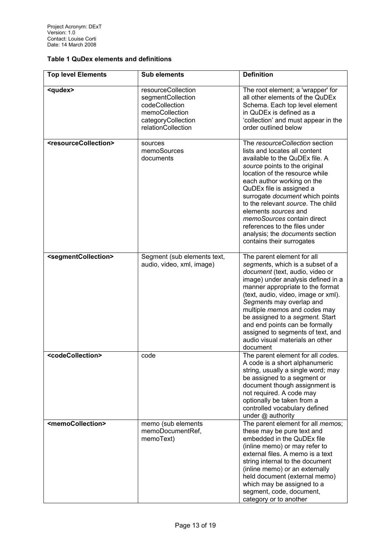#### **Table 1 QuDex elements and definitions**

| <b>Top level Elements</b>                 | <b>Sub elements</b>                                                                                                     | <b>Definition</b>                                                                                                                                                                                                                                                                                                                                                                                                                                             |
|-------------------------------------------|-------------------------------------------------------------------------------------------------------------------------|---------------------------------------------------------------------------------------------------------------------------------------------------------------------------------------------------------------------------------------------------------------------------------------------------------------------------------------------------------------------------------------------------------------------------------------------------------------|
| <qudex></qudex>                           | resourceCollection<br>segmentCollection<br>codeCollection<br>memoCollection<br>categoryCollection<br>relationCollection | The root element; a 'wrapper' for<br>all other elements of the QuDEx<br>Schema. Each top level element<br>in QuDEx is defined as a<br>'collection' and must appear in the<br>order outlined below                                                                                                                                                                                                                                                             |
| <resourcecollection></resourcecollection> | sources<br>memoSources<br>documents                                                                                     | The resourceCollection section<br>lists and locates all content<br>available to the QuDEx file. A<br>source points to the original<br>location of the resource while<br>each author working on the<br>QuDEx file is assigned a<br>surrogate document which points<br>to the relevant source. The child<br>elements sources and<br>memoSources contain direct<br>references to the files under<br>analysis; the documents section<br>contains their surrogates |
| <segmentcollection></segmentcollection>   | Segment (sub elements text,<br>audio, video, xml, image)                                                                | The parent element for all<br>segments, which is a subset of a<br>document (text, audio, video or<br>image) under analysis defined in a<br>manner appropriate to the format<br>(text, audio, video, image or xml).<br>Segments may overlap and<br>multiple memos and codes may<br>be assigned to a segment. Start<br>and end points can be formally<br>assigned to segments of text, and<br>audio visual materials an other<br>document                       |
| <codecollection></codecollection>         | code                                                                                                                    | The parent element for all codes.<br>A code is a short alphanumeric<br>string, usually a single word; may<br>be assigned to a segment or<br>document though assignment is<br>not required. A code may<br>optionally be taken from a<br>controlled vocabulary defined<br>under @ authority                                                                                                                                                                     |
| <memocollection></memocollection>         | memo (sub elements<br>memoDocumentRef,<br>memoText)                                                                     | The parent element for all <i>memos</i> ;<br>these may be pure text and<br>embedded in the QuDEx file<br>(inline memo) or may refer to<br>external files. A memo is a text<br>string internal to the document<br>(inline memo) or an externally<br>held document (external memo)<br>which may be assigned to a<br>segment, code, document,<br>category or to another                                                                                          |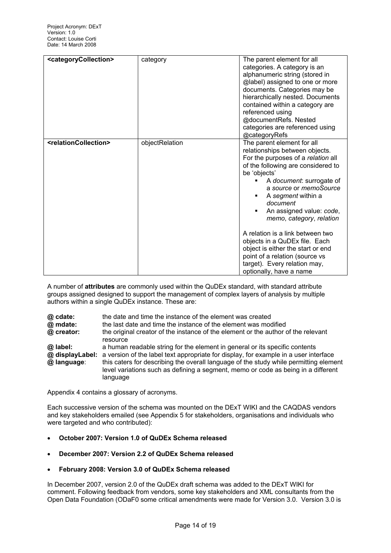| <categorycollection></categorycollection> | category       | The parent element for all<br>categories. A category is an<br>alphanumeric string (stored in<br>@label) assigned to one or more<br>documents. Categories may be<br>hierarchically nested. Documents<br>contained within a category are<br>referenced using<br>@documentRefs. Nested<br>categories are referenced using<br>@categoryRefs                                                                                                                                                                         |
|-------------------------------------------|----------------|-----------------------------------------------------------------------------------------------------------------------------------------------------------------------------------------------------------------------------------------------------------------------------------------------------------------------------------------------------------------------------------------------------------------------------------------------------------------------------------------------------------------|
| <relationcollection></relationcollection> | objectRelation | The parent element for all<br>relationships between objects.<br>For the purposes of a relation all<br>of the following are considered to<br>be 'objects'<br>A document: surrogate of<br>a source or memoSource<br>A segment within a<br>document<br>An assigned value: code,<br>memo, category, relation<br>A relation is a link between two<br>objects in a QuDEx file. Each<br>object is either the start or end<br>point of a relation (source vs<br>target). Every relation may,<br>optionally, have a name |

A number of **attributes** are commonly used within the QuDEx standard, with standard attribute groups assigned designed to support the management of complex layers of analysis by multiple authors within a single QuDEx instance. These are:

| @ cdate:    | the date and time the instance of the element was created                                                                                                                              |
|-------------|----------------------------------------------------------------------------------------------------------------------------------------------------------------------------------------|
| @ mdate:    | the last date and time the instance of the element was modified                                                                                                                        |
| @ creator:  | the original creator of the instance of the element or the author of the relevant<br>resource                                                                                          |
| @ label:    | a human readable string for the element in general or its specific contents                                                                                                            |
|             | @ displayLabel: a version of the label text appropriate for display, for example in a user interface                                                                                   |
| @ language: | this caters for describing the overall language of the study while permitting element<br>level variations such as defining a segment, memo or code as being in a different<br>language |

Appendix 4 contains a glossary of acronyms.

Each successive version of the schema was mounted on the DExT WIKI and the CAQDAS vendors and key stakeholders emailed (see Appendix 5 for stakeholders, organisations and individuals who were targeted and who contributed):

- **October 2007: Version 1.0 of QuDEx Schema released**
- **December 2007: Version 2.2 of QuDEx Schema released**
- **February 2008: Version 3.0 of QuDEx Schema released**

In December 2007, version 2.0 of the QuDEx draft schema was added to the DExT WIKI for comment. Following feedback from vendors, some key stakeholders and XML consultants from the Open Data Foundation (ODaF0 some critical amendments were made for Version 3.0. Version 3.0 is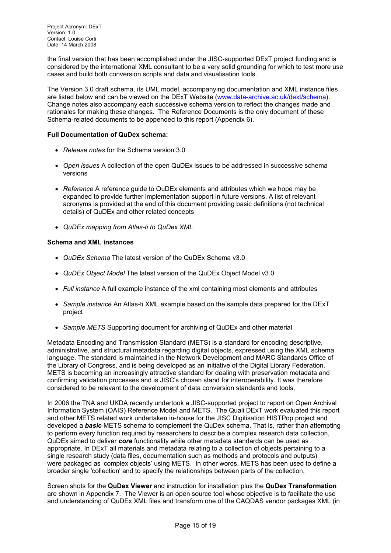the final version that has been accomplished under the JISC-supported DExT project funding and is considered by the international XML consultant to be a very solid grounding for which to test more use cases and build both conversion scripts and data and visualisation tools.

The Version 3.0 draft schema, its UML model, accompanying documentation and XML instance files are listed below and can be viewed on the DExT Website (www.data-archive.ac.uk/dext/schema). Change notes also accompany each successive schema version to reflect the changes made and rationales for making these changes. The Reference Documents is the only document of these Schema-related documents to be appended to this report (Appendix 6).

#### **Full Documentation of QuDex schema:**

- *Release notes* for the Schema version 3.0
- *Open issues* A collection of the open QuDEx issues to be addressed in successive schema versions
- *Reference* A reference guide to QuDEx elements and attributes which we hope may be expanded to provide further implementation support in future versions. A list of relevant acronyms is provided at the end of this document providing basic definitions (not technical details) of QuDEx and other related concepts
- *QuDEx mapping from Atlas-ti to QuDex XML*

#### **Schema and XML instances**

- *QuDEx Schema* The latest version of the QuDEx Schema v3.0
- *QuDEx Object Model* The latest version of the QuDEx Object Model v3.0
- *Full instance* A full example instance of the xml containing most elements and attributes
- *Sample instance* An Atlas-ti XML example based on the sample data prepared for the DExT project
- *Sample METS* Supporting document for archiving of QuDEx and other material

Metadata Encoding and Transmission Standard (METS) is a standard for encoding descriptive, administrative, and structural metadata regarding digital objects, expressed using the XML schema language. The standard is maintained in the Network Development and MARC Standards Office of the Library of Congress, and is being developed as an initiative of the Digital Library Federation. METS is becoming an increasingly attractive standard for dealing with preservation metadata and confirming validation processes and is JISC's chosen stand for interoperability. It was therefore considered to be relevant to the development of data conversion standards and tools.

In 2006 the TNA and UKDA recently undertook a JISC-supported project to report on Open Archival Information System (OAIS) Reference Model and METS. The Quali DExT work evaluated this report and other METS related work undertaken in-house for the JISC Digitisation HISTPop project and developed a *basic* METS schema to complement the QuDex schema. That is, rather than attempting to perform every function required by researchers to describe a complex research data collection, QuDEx aimed to deliver *core* functionality while other metadata standards can be used as appropriate. In DExT all materials and metadata relating to a collection of objects pertaining to a single research study (data files, documentation such as methods and protocols and outputs) were packaged as 'complex objects' using METS. In other words, METS has been used to define a broader single 'collection' and to specify the relationships between parts of the collection.

Screen shots for the **QuDex Viewer** and instruction for installation plus the **QuDex Transformation** are shown in Appendix 7. The Viewer is an open source tool whose objective is to facilitate the use and understanding of QuDEx XML files and transform one of the CAQDAS vendor packages XML (in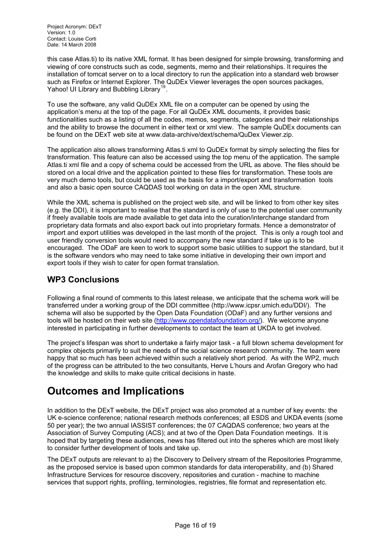<span id="page-15-0"></span>this case Atlas.ti) to its native XML format. It has been designed for simple browsing, transforming and viewing of core constructs such as code, segments, memo and their relationships. It requires the installation of tomcat server on to a local directory to run the application into a standard web browser such as Firefox or Internet Explorer. The QuDEx Viewer leverages the open sources packages, Yahoo! UI Library and Bubbling Library<sup>19</sup>.

To use the software, any valid QuDEx XML file on a computer can be opened by using the application's menu at the top of the page. For all QuDEx XML documents, it provides basic functionalities such as a listing of all th[e c](#page-17-2)odes, memos, segments, categories and their relationships and the ability to browse the document in either text or xml view. The sample QuDEx documents can be found on the DExT web site at www.data-archive/dext/schema/QuDex Viewer.zip.

The application also allows transforming Atlas.ti xml to QuDEx format by simply selecting the files for transformation. This feature can also be accessed using the top menu of the application. The sample Atlas.ti xml file and a copy of schema could be accessed from the URL as above. The files should be stored on a local drive and the application pointed to these files for transformation. These tools are very much demo tools, but could be used as the basis for a import/export and transformation tools and also a basic open source CAQDAS tool working on data in the open XML structure.

While the XML schema is published on the project web site, and will be linked to from other key sites (e.g. the DDI), it is important to realise that the standard is only of use to the potential user community if freely available tools are made available to get data into the curation/interchange standard from proprietary data formats and also export back out into proprietary formats. Hence a demonstrator of import and export utilities was developed in the last month of the project. This is only a rough tool and user friendly conversion tools would need to accompany the new standard if take up is to be encouraged. The ODaF are keen to work to support some basic utilities to support the standard, but it is the software vendors who may need to take some initiative in developing their own import and export tools if they wish to cater for open format translation.

### **WP3 Conclusions**

Following a final round of comments to this latest release, we anticipate that the schema work will be transferred under a working group of the DDI committee (http://www.icpsr.umich.edu/DDI/). The schema will also be supported by the Open Data Foundation (ODaF) and any further versions and tools will be hosted on their web site (http://www.opendatafoundation.org/). We welcome anyone interested in participating in further developments to contact the team at UKDA to get involved.

The project's lifespan was short to undertake a fairly major task - a full blown schema development for complex objects primarily to suit the [needs of the social science research](http://www.opendatafoundation.org/) community. The team were happy that so much has been achieved within such a relatively short period. As with the WP2, much of the progress can be attributed to the two consultants, Herve L'hours and Arofan Gregory who had the knowledge and skills to make quite critical decisions in haste.

## **Outcomes and Implications**

In addition to the DExT website, the DExT project was also promoted at a number of key events: the UK e-science conference; national research methods conferences; all ESDS and UKDA events (some 50 per year); the two annual IASSIST conferences; the 07 CAQDAS conference; two years at the Association of Survey Computing (ACS); and at two of the Open Data Foundation meetings. It is hoped that by targeting these audiences, news has filtered out into the spheres which are most likely to consider further development of tools and take up.

The DExT outputs are relevant to a) the Discovery to Delivery stream of the Repositories Programme, as the proposed service is based upon common standards for data interoperability, and (b) Shared Infrastructure Services for resource discovery, repositories and curation - machine to machine services that support rights, profiling, terminologies, registries, file format and representation etc.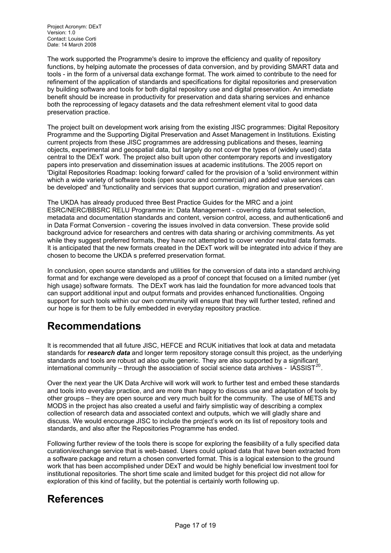Version: 1.0 Contact: Louise Corti Date: 14 March 2008

The work supported the Programme's desire to improve the efficiency and quality of repository functions, by helping automate the processes of data conversion, and by providing SMART data and tools - in the form of a universal data exchange format. The work aimed to contribute to the need for refinement of the application of standards and specifications for digital repositories and preservation by building software and tools for both digital repository use and digital preservation. An immediate benefit should be increase in productivity for preservation and data sharing services and enhance both the reprocessing of legacy datasets and the data refreshment element vital to good data preservation practice.

The project built on development work arising from the existing JISC programmes: Digital Repository Programme and the Supporting Digital Preservation and Asset Management in Institutions. Existing current projects from these JISC programmes are addressing publications and theses, learning objects, experimental and geospatial data, but largely do not cover the types of (widely used) data central to the DExT work. The project also built upon other contemporary reports and investigatory papers into preservation and dissemination issues at academic institutions. The 2005 report on 'Digital Repositories Roadmap: looking forward' called for the provision of a 'solid environment within which a wide variety of software tools (open source and commercial) and added value services can be developed' and 'functionality and services that support curation, migration and preservation'.

The UKDA has already produced three Best Practice Guides for the MRC and a joint ESRC/NERC/BBSRC RELU Programme in: Data Management - covering data format selection, metadata and documentation standards and content, version control, access, and authentication6 and in Data Format Conversion - covering the issues involved in data conversion. These provide solid background advice for researchers and centres with data sharing or archiving commitments. As yet while they suggest preferred formats, they have not attempted to cover vendor neutral data formats. It is anticipated that the new formats created in the DExT work will be integrated into advice if they are chosen to become the UKDA s preferred preservation format.

In conclusion, open source standards and utilities for the conversion of data into a standard archiving format and for exchange were developed as a proof of concept that focused on a limited number (yet high usage) software formats. The DExT work has laid the foundation for more advanced tools that can support additional input and output formats and provides enhanced functionalities. Ongoing support for such tools within our own community will ensure that they will further tested, refined and our hope is for them to be fully embedded in everyday repository practice.

## **Recommendations**

It is recommended that all future JISC, HEFCE and RCUK initiatives that look at data and metadata standards for *research data* and longer term repository storage consult this project, as the underlying standards and tools are robust ad also quite generic. They are also supported by a significant international community – through the association of social science data archives -  $\text{IASSIST}^{20}$ .

Over the next year the UK Data Archive will work will work to further test and embed these standards and tools into everyday practice, and are more than happy to discuss use and adaptation of tools by other groups – they are open source and very much built for the community. The use of ME[TS](#page-17-2) and MODS in the project has also created a useful and fairly simplistic way of describing a complex collection of research data and associated context and outputs, which we will gladly share and discuss. We would encourage JISC to include the project's work on its list of repository tools and standards, and also after the Repositories Programme has ended.

Following further review of the tools there is scope for exploring the feasibility of a fully specified data curation/exchange service that is web-based. Users could upload data that have been extracted from a software package and return a chosen converted format. This is a logical extension to the ground work that has been accomplished under DExT and would be highly beneficial low investment tool for institutional repositories. The short time scale and limited budget for this project did not allow for exploration of this kind of facility, but the potential is certainly worth following up.

## **References**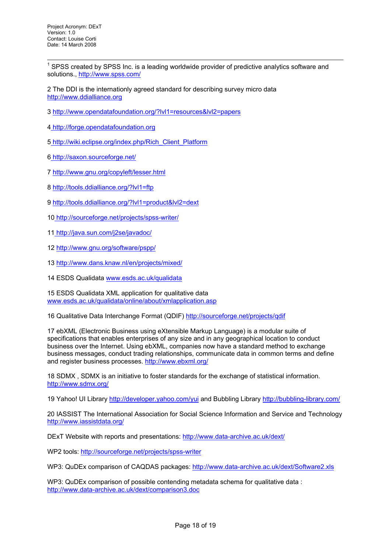l  $1$  SPSS created by SPSS Inc. is a leading worldwide provider of predictive analytics software and solutions., http://www.spss.com/

<span id="page-17-1"></span><span id="page-17-0"></span>2 The DDI is the internationly agreed standard for describing survey micro data http://www.ddialliance.org

3 http://ww[w.opendatafoundation](http://www.spss.com/).org/?lvl1=resources&lvl2=papers

- [4 http://forge.opendatafou](http://www.ddialliance.org/)ndation.org
- 5 [http://wiki.eclipse.org/index.php/Rich\\_Client\\_Platform](http://www.opendatafoundation.org/?lvl1=resources&lvl2=papers)
- 6 [http://saxon.sourceforge.net/](http://forge.opendatafoundation.org/)
- 7 [http://www.gnu.org/copyleft/lesser.html](http://wiki.eclipse.org/index.php/Rich_Client_Platform)
- 8 [http://tools.ddialliance.org/?lv](http://saxon.sourceforge.net/)l1=ftp
- 9 [http://tools.ddialliance.org/?lvl1=produc](http://www.gnu.org/copyleft/lesser.html)t&lvl2=dext
- 1[0 http://sourceforge.net/projects/sps](http://tools.ddialliance.org/?lvl1=ftp)s-writer/
- 1[1 http://java.sun.com/j2se/javadoc/](http://tools.ddialliance.org/?lvl1=product&lvl2=dext)
- 1[2 http://www.gnu.org/software/pspp/](http://sourceforge.net/projects/spss-writer/)
- <span id="page-17-2"></span>1[3 http://www.dans.knaw.nl/en/proje](http://java.sun.com/j2se/javadoc/)cts/mixed/
- 14 [ESDS Qualidata www.esds.ac.uk/q](http://www.gnu.org/software/pspp/)ualidata

15 [ESDS Qualidata XML application for qualitat](http://www.dans.knaw.nl/en/projects/mixed/)ive data www.esds.ac.uk/qualidata/online/about/xmlapplication.asp

16 Qualitative Data [Interchange Format \(QDIF\)](http://www.esds.ac.uk/qualidata) http://sourceforge.net/projects/qdif

[17 ebXML \(Electronic Business using eXtensible Markup La](http://www.esds.ac.uk/qualidata/online/about/xmlapplication.asp)nguage) is a modular suite of specifications that enables enterprises of any size and in any geographical location to conduct business over the Internet. Using ebXML, comp[anies now have a standard method](http://sourceforge.net/projects/qdif) to exchange business messages, conduct trading relationships, communicate data in common terms and define and register business processes. http://www.ebxml.org/

18 SDMX , SDMX is an initiative to foster standards for the exchange of statistical information. http://www.sdmx.org/

19 Yahoo! UI Library http://devel[oper.yahoo.com/yui and](http://www.ebxml.org/) Bubbling Library http://bubbling-library.com/

[20 IASSIST The Intern](http://www.sdmx.org/)ational Association for Social Science Information and Service and Technology http://www.iassistdata.org/

DExT Website with r[eports and presentations: http://](http://developer.yahoo.com/yui)www.data-archive.ac.[uk/dext/](http://bubbling-library.com/)

[WP2 tools: http://sourceforg](http://www.iassistdata.org/)e.net/projects/spss-writer

WP3: QuDEx comparison of CAQDAS packag[es: http://www.data-archive.ac.uk/de](http://www.data-archive.ac.uk/dext/)xt/Software2.xls

WP3: QuD[Ex comparison of possible contending met](http://sourceforge.net/projects/spss-writer)adata schema for qualitative data : http://www.data-archive.ac.uk/dext/comparison3.doc